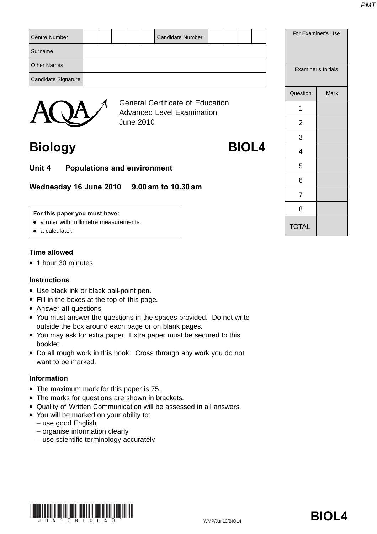| Centre Number       |  |        |  | <b>Candidate Number</b> |  |  | For E |
|---------------------|--|--------|--|-------------------------|--|--|-------|
| Surname             |  |        |  |                         |  |  |       |
| <b>Other Names</b>  |  |        |  |                         |  |  | Exa   |
| Candidate Signature |  |        |  |                         |  |  |       |
|                     |  | $\sim$ |  |                         |  |  | Quest |



General Certificate of Education Advanced Level Examination June 2010

**Biology BIOL4**

**Unit 4 Populations and environment**

**Wednesday 16 June 2010 9.00 am to 10.30 am**

### **For this paper you must have:**

- a ruler with millimetre measurements.
- a calculator.

### **Time allowed**

● 1 hour 30 minutes

### **Instructions**

- Use black ink or black ball-point pen.
- Fill in the boxes at the top of this page.
- Answer **all** questions.
- You must answer the questions in the spaces provided. Do not write outside the box around each page or on blank pages.
- You may ask for extra paper. Extra paper must be secured to this booklet.
- Do all rough work in this book. Cross through any work you do not want to be marked.

### **Information**

- The maximum mark for this paper is 75.
- The marks for questions are shown in brackets.
- Quality of Written Communication will be assessed in all answers.
- You will be marked on your ability to:
	- use good English
	- organise information clearly
	- use scientific terminology accurately.



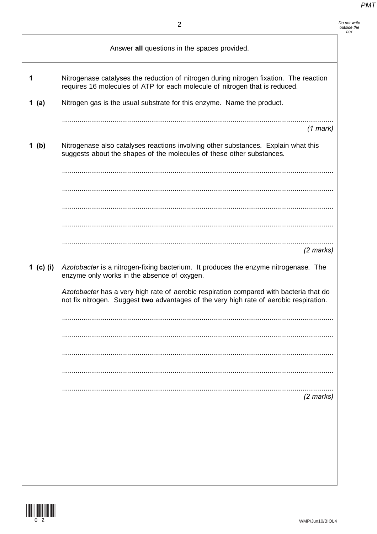*Do not write outside the box*

|           | Answer all questions in the spaces provided.                                                                                                                                     |
|-----------|----------------------------------------------------------------------------------------------------------------------------------------------------------------------------------|
| 1         | Nitrogenase catalyses the reduction of nitrogen during nitrogen fixation. The reaction<br>requires 16 molecules of ATP for each molecule of nitrogen that is reduced.            |
| 1 $(a)$   | Nitrogen gas is the usual substrate for this enzyme. Name the product.                                                                                                           |
|           | $(1$ mark)                                                                                                                                                                       |
| 1(b)      | Nitrogenase also catalyses reactions involving other substances. Explain what this<br>suggests about the shapes of the molecules of these other substances.                      |
|           |                                                                                                                                                                                  |
|           |                                                                                                                                                                                  |
|           |                                                                                                                                                                                  |
|           | $(2 \text{ marks})$                                                                                                                                                              |
| 1 (c) (i) | Azotobacter is a nitrogen-fixing bacterium. It produces the enzyme nitrogenase. The<br>enzyme only works in the absence of oxygen.                                               |
|           | Azotobacter has a very high rate of aerobic respiration compared with bacteria that do<br>not fix nitrogen. Suggest two advantages of the very high rate of aerobic respiration. |
|           |                                                                                                                                                                                  |
|           |                                                                                                                                                                                  |
|           |                                                                                                                                                                                  |
|           |                                                                                                                                                                                  |
|           | $(2 \text{ marks})$                                                                                                                                                              |
|           |                                                                                                                                                                                  |
|           |                                                                                                                                                                                  |
|           |                                                                                                                                                                                  |

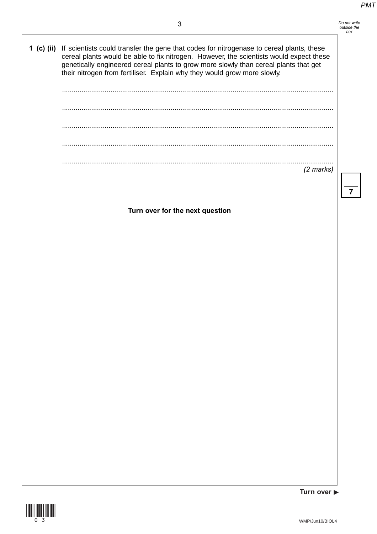## *Do not write outside the box*

**1 (c) (ii)** If scientists could transfer the gene that codes for nitrogenase to cereal plants, these cereal plants would be able to fix nitrogen. However, the scientists would expect these genetically engineered cereal plants to grow more slowly than cereal plants that get their nitrogen from fertiliser. Explain why they would grow more slowly.

| $(2 \text{ marks})$ |
|---------------------|

**Turn over for the next question**



Turn over  $\blacktriangleright$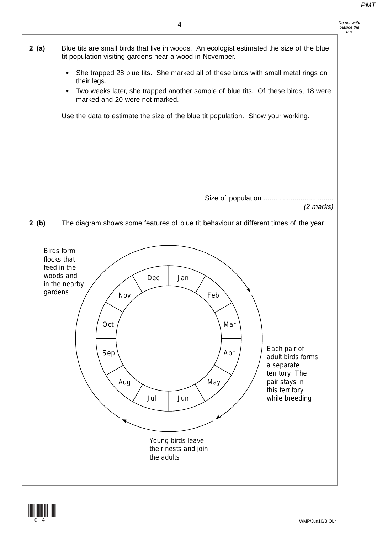

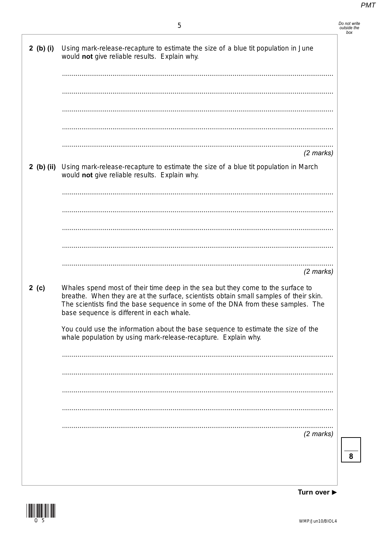| Do not write<br>outside the |  |
|-----------------------------|--|
| box                         |  |
|                             |  |

| $2$ (b) (i) | Using mark-release-recapture to estimate the size of a blue tit population in June<br>would not give reliable results. Explain why.                                                                                                                                                                       |
|-------------|-----------------------------------------------------------------------------------------------------------------------------------------------------------------------------------------------------------------------------------------------------------------------------------------------------------|
|             |                                                                                                                                                                                                                                                                                                           |
|             |                                                                                                                                                                                                                                                                                                           |
|             | $(2$ marks)                                                                                                                                                                                                                                                                                               |
|             | 2 (b) (ii) Using mark-release-recapture to estimate the size of a blue tit population in March<br>would not give reliable results. Explain why.                                                                                                                                                           |
|             |                                                                                                                                                                                                                                                                                                           |
|             |                                                                                                                                                                                                                                                                                                           |
|             |                                                                                                                                                                                                                                                                                                           |
|             |                                                                                                                                                                                                                                                                                                           |
|             | $(2$ marks)                                                                                                                                                                                                                                                                                               |
| 2(c)        | Whales spend most of their time deep in the sea but they come to the surface to<br>breathe. When they are at the surface, scientists obtain small samples of their skin.<br>The scientists find the base sequence in some of the DNA from these samples. The<br>base sequence is different in each whale. |
|             | You could use the information about the base sequence to estimate the size of the<br>whale population by using mark-release-recapture. Explain why.                                                                                                                                                       |
|             |                                                                                                                                                                                                                                                                                                           |
|             |                                                                                                                                                                                                                                                                                                           |
|             |                                                                                                                                                                                                                                                                                                           |
|             |                                                                                                                                                                                                                                                                                                           |
|             | $(2 \text{ marks})$                                                                                                                                                                                                                                                                                       |
|             |                                                                                                                                                                                                                                                                                                           |
|             |                                                                                                                                                                                                                                                                                                           |



Turn over ▶

 $\overline{\mathbf{8}}$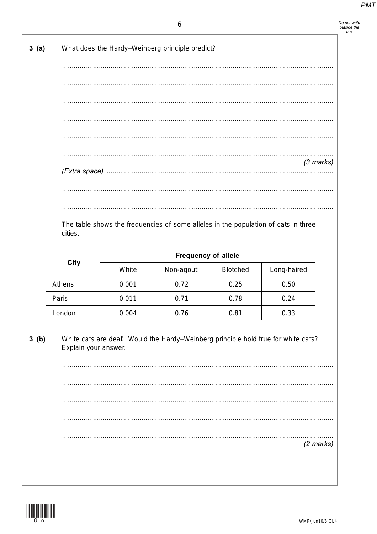Do not write<br>outside the<br>box

| 3(a)   |                      |       | What does the Hardy-Weinberg principle predict?                                   |                 |                     |
|--------|----------------------|-------|-----------------------------------------------------------------------------------|-----------------|---------------------|
|        |                      |       |                                                                                   |                 |                     |
|        |                      |       |                                                                                   |                 |                     |
|        |                      |       |                                                                                   |                 |                     |
|        |                      |       |                                                                                   |                 |                     |
|        |                      |       |                                                                                   |                 |                     |
|        |                      |       |                                                                                   |                 |                     |
|        |                      |       |                                                                                   |                 |                     |
|        |                      |       |                                                                                   |                 | $(3$ marks)         |
|        |                      |       |                                                                                   |                 |                     |
|        |                      |       |                                                                                   |                 |                     |
|        |                      |       |                                                                                   |                 |                     |
|        |                      |       | <b>Frequency of allele</b>                                                        |                 |                     |
|        | <b>City</b>          | White |                                                                                   | <b>Blotched</b> |                     |
| Athens |                      | 0.001 | Non-agouti<br>0.72                                                                | 0.25            | Long-haired<br>0.50 |
| Paris  |                      | 0.011 | 0.71                                                                              | 0.78            | 0.24                |
| London |                      | 0.004 | 0.76                                                                              | 0.81            | 0.33                |
|        |                      |       |                                                                                   |                 |                     |
| 3(b)   | Explain your answer. |       | White cats are deaf. Would the Hardy-Weinberg principle hold true for white cats? |                 |                     |
|        |                      |       |                                                                                   |                 |                     |
|        |                      |       |                                                                                   |                 |                     |
|        |                      |       |                                                                                   |                 |                     |
|        |                      |       |                                                                                   |                 |                     |
|        |                      |       |                                                                                   |                 | $(2 \text{ marks})$ |
|        |                      |       |                                                                                   |                 |                     |
|        |                      |       |                                                                                   |                 |                     |
|        |                      |       |                                                                                   |                 |                     |
|        |                      |       |                                                                                   |                 |                     |
|        |                      |       |                                                                                   |                 |                     |

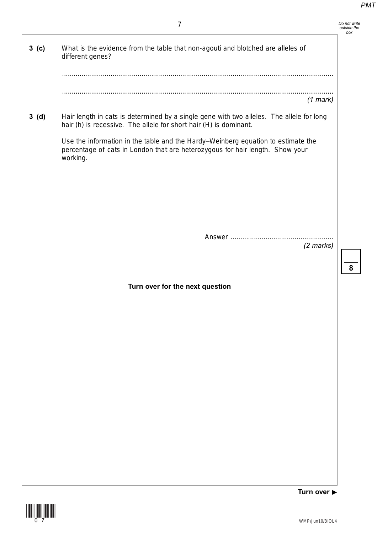|                  | 7                                                                                                                                                                             | Do not write<br>outside the |
|------------------|-------------------------------------------------------------------------------------------------------------------------------------------------------------------------------|-----------------------------|
| 3 <sub>(c)</sub> | What is the evidence from the table that non-agouti and blotched are alleles of<br>different genes?                                                                           |                             |
|                  |                                                                                                                                                                               |                             |
|                  | $(1$ mark)                                                                                                                                                                    |                             |
| 3(d)             | Hair length in cats is determined by a single gene with two alleles. The allele for long<br>hair (h) is recessive. The allele for short hair (H) is dominant.                 |                             |
|                  | Use the information in the table and the Hardy-Weinberg equation to estimate the<br>percentage of cats in London that are heterozygous for hair length. Show your<br>working. |                             |
|                  |                                                                                                                                                                               |                             |
|                  |                                                                                                                                                                               |                             |
|                  |                                                                                                                                                                               |                             |
|                  | $(2 \text{ marks})$                                                                                                                                                           |                             |
|                  |                                                                                                                                                                               |                             |
|                  | Turn over for the next question                                                                                                                                               |                             |
|                  |                                                                                                                                                                               |                             |
|                  |                                                                                                                                                                               |                             |
|                  |                                                                                                                                                                               |                             |
|                  |                                                                                                                                                                               |                             |
|                  |                                                                                                                                                                               |                             |
|                  |                                                                                                                                                                               |                             |
|                  |                                                                                                                                                                               |                             |
|                  |                                                                                                                                                                               |                             |
|                  |                                                                                                                                                                               |                             |
|                  | Turn over $\blacktriangleright$                                                                                                                                               |                             |

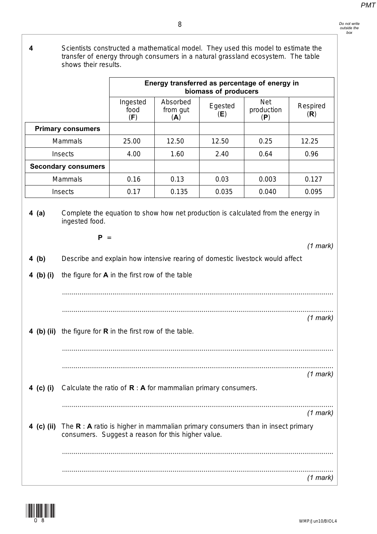**4** Scientists constructed a mathematical model. They used this model to estimate the transfer of energy through consumers in a natural grassland ecosystem. The table shows their results.

|                    |                                                                                                                                          |                         |                             | biomass of producers | Energy transferred as percentage of energy in |                 |
|--------------------|------------------------------------------------------------------------------------------------------------------------------------------|-------------------------|-----------------------------|----------------------|-----------------------------------------------|-----------------|
|                    |                                                                                                                                          | Ingested<br>food<br>(F) | Absorbed<br>from gut<br>(A) | Egested<br>(E)       | <b>Net</b><br>production<br>(P)               | Respired<br>(R) |
|                    | <b>Primary consumers</b>                                                                                                                 |                         |                             |                      |                                               |                 |
|                    | <b>Mammals</b>                                                                                                                           | 25.00                   | 12.50                       | 12.50                | 0.25                                          | 12.25           |
|                    | Insects                                                                                                                                  | 4.00                    | 1.60                        | 2.40                 | 0.64                                          | 0.96            |
|                    | <b>Secondary consumers</b>                                                                                                               |                         |                             |                      |                                               |                 |
|                    | <b>Mammals</b>                                                                                                                           | 0.16                    | 0.13                        | 0.03                 | 0.003                                         | 0.127           |
|                    | Insects                                                                                                                                  | 0.17                    | 0.135                       | 0.035                | 0.040                                         | 0.095           |
| 4 (b)<br>4 (b) (i) | $P =$<br>Describe and explain how intensive rearing of domestic livestock would affect<br>the figure for A in the first row of the table |                         |                             |                      |                                               | $(1$ mark)      |
|                    | 4 (b) (ii) the figure for R in the first row of the table.                                                                               |                         |                             |                      |                                               | $(1$ mark)      |
|                    |                                                                                                                                          |                         |                             |                      |                                               |                 |
| 4 (c) (i)          | Calculate the ratio of $R : A$ for mammalian primary consumers.                                                                          |                         |                             |                      |                                               | $(1$ mark)      |

............................................................................................................................................



*(1 mark)*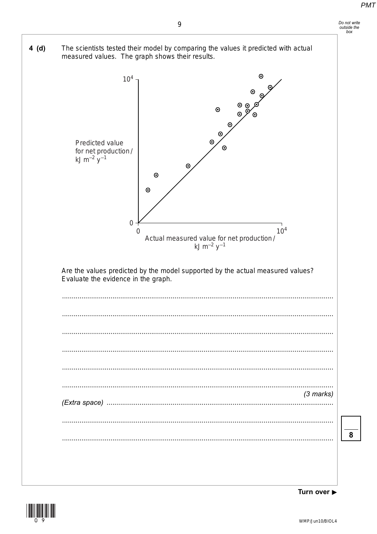



Turn over ▶

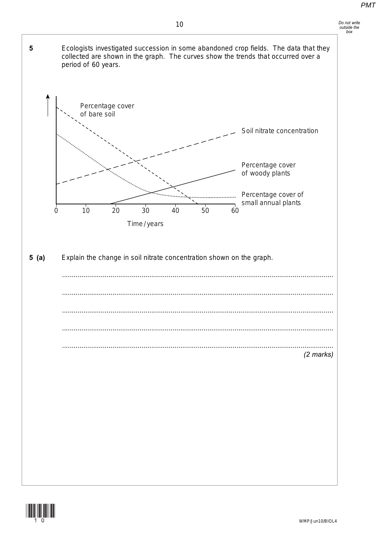*Do not write outside the box*



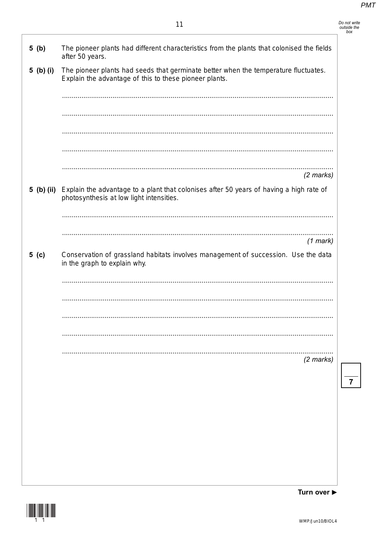| Do not write |  |
|--------------|--|
| outside the  |  |
| box          |  |

| 5(b)      | The pioneer plants had different characteristics from the plants that colonised the fields<br>after 50 years.                                  |
|-----------|------------------------------------------------------------------------------------------------------------------------------------------------|
| 5 (b) (i) | The pioneer plants had seeds that germinate better when the temperature fluctuates.<br>Explain the advantage of this to these pioneer plants.  |
|           |                                                                                                                                                |
|           |                                                                                                                                                |
|           |                                                                                                                                                |
|           |                                                                                                                                                |
|           | $(2 \text{ marks})$                                                                                                                            |
|           | 5 (b) (ii) Explain the advantage to a plant that colonises after 50 years of having a high rate of<br>photosynthesis at low light intensities. |
|           |                                                                                                                                                |
|           | $(1$ mark)                                                                                                                                     |
| 5( c )    | Conservation of grassland habitats involves management of succession. Use the data<br>in the graph to explain why.                             |
|           |                                                                                                                                                |
|           |                                                                                                                                                |
|           |                                                                                                                                                |
|           |                                                                                                                                                |
|           |                                                                                                                                                |
|           | $(2 \text{ marks})$                                                                                                                            |
|           |                                                                                                                                                |
|           |                                                                                                                                                |
|           |                                                                                                                                                |
|           |                                                                                                                                                |
|           |                                                                                                                                                |

Turn over ▶

 $\overline{7}$ 

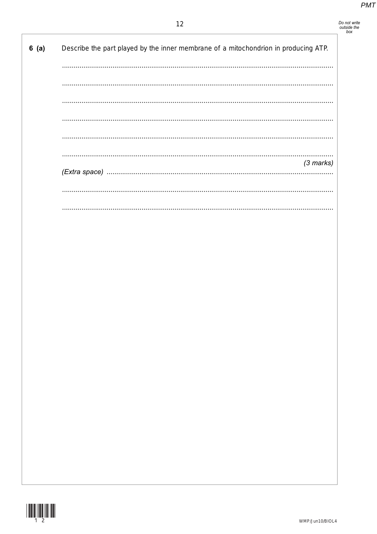# Do not write<br>outside the<br>box

| 6(a) | Describe the part played by the inner membrane of a mitochondrion in producing ATP. |
|------|-------------------------------------------------------------------------------------|
|      |                                                                                     |
|      |                                                                                     |
|      |                                                                                     |
|      |                                                                                     |
|      |                                                                                     |
|      |                                                                                     |
|      | $(3$ marks)                                                                         |
|      |                                                                                     |
|      |                                                                                     |
|      |                                                                                     |

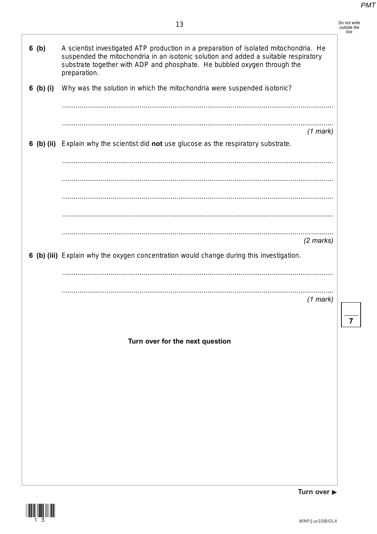| Do not write |
|--------------|
| outside the  |
| hox          |

| 6(b)      | A scientist investigated ATP production in a preparation of isolated mitochondria. He<br>suspended the mitochondria in an isotonic solution and added a suitable respiratory<br>substrate together with ADP and phosphate. He bubbled oxygen through the<br>preparation. |             |  |
|-----------|--------------------------------------------------------------------------------------------------------------------------------------------------------------------------------------------------------------------------------------------------------------------------|-------------|--|
| 6 (b) (i) | Why was the solution in which the mitochondria were suspended isotonic?                                                                                                                                                                                                  |             |  |
|           |                                                                                                                                                                                                                                                                          |             |  |
|           |                                                                                                                                                                                                                                                                          |             |  |
|           |                                                                                                                                                                                                                                                                          | $(1$ mark)  |  |
|           | 6 (b) (ii) Explain why the scientist did not use glucose as the respiratory substrate.                                                                                                                                                                                   |             |  |
|           |                                                                                                                                                                                                                                                                          |             |  |
|           |                                                                                                                                                                                                                                                                          |             |  |
|           |                                                                                                                                                                                                                                                                          |             |  |
|           |                                                                                                                                                                                                                                                                          |             |  |
|           |                                                                                                                                                                                                                                                                          |             |  |
|           |                                                                                                                                                                                                                                                                          | $(2$ marks) |  |
|           | 6 (b) (iii) Explain why the oxygen concentration would change during this investigation.                                                                                                                                                                                 |             |  |
|           |                                                                                                                                                                                                                                                                          |             |  |
|           |                                                                                                                                                                                                                                                                          | $(1$ mark)  |  |
|           |                                                                                                                                                                                                                                                                          |             |  |
|           |                                                                                                                                                                                                                                                                          |             |  |
|           | Turn over for the next question                                                                                                                                                                                                                                          |             |  |
|           |                                                                                                                                                                                                                                                                          |             |  |
|           |                                                                                                                                                                                                                                                                          |             |  |
|           |                                                                                                                                                                                                                                                                          |             |  |
|           |                                                                                                                                                                                                                                                                          |             |  |
|           |                                                                                                                                                                                                                                                                          |             |  |
|           |                                                                                                                                                                                                                                                                          |             |  |
|           |                                                                                                                                                                                                                                                                          |             |  |
|           |                                                                                                                                                                                                                                                                          |             |  |



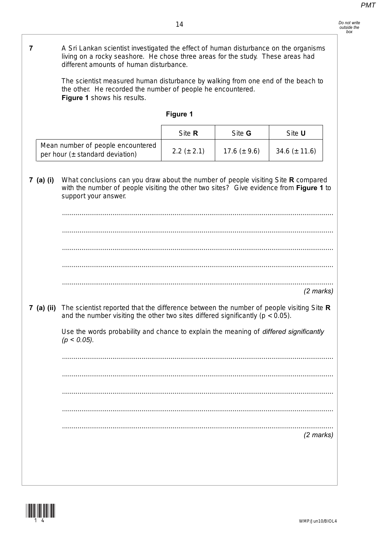| Do not write |
|--------------|
| outside the  |
| box          |

| 7                                                                      | A Sri Lankan scientist investigated the effect of human disturbance on the organisms<br>living on a rocky seashore. He chose three areas for the study. These areas had<br>different amounts of human disturbance. |                 |                   |                     |  |
|------------------------------------------------------------------------|--------------------------------------------------------------------------------------------------------------------------------------------------------------------------------------------------------------------|-----------------|-------------------|---------------------|--|
|                                                                        | The scientist measured human disturbance by walking from one end of the beach to<br>the other. He recorded the number of people he encountered.<br>Figure 1 shows his results.                                     |                 |                   |                     |  |
|                                                                        |                                                                                                                                                                                                                    | Figure 1        |                   |                     |  |
|                                                                        |                                                                                                                                                                                                                    | Site R          | Site G            | Site U              |  |
| Mean number of people encountered<br>per hour $(±$ standard deviation) |                                                                                                                                                                                                                    | $2.2 (\pm 2.1)$ | 17.6 ( $\pm$ 9.6) | 34.6 $(\pm 11.6)$   |  |
| 7 (a) (i)                                                              | What conclusions can you draw about the number of people visiting Site R compared<br>with the number of people visiting the other two sites? Give evidence from Figure 1 to<br>support your answer.                |                 |                   |                     |  |
|                                                                        |                                                                                                                                                                                                                    |                 |                   |                     |  |
|                                                                        |                                                                                                                                                                                                                    |                 |                   |                     |  |
|                                                                        |                                                                                                                                                                                                                    |                 |                   |                     |  |
|                                                                        |                                                                                                                                                                                                                    |                 |                   |                     |  |
|                                                                        |                                                                                                                                                                                                                    |                 |                   | $(2$ marks)         |  |
| 7 (a) (ii)                                                             | The scientist reported that the difference between the number of people visiting Site R<br>and the number visiting the other two sites differed significantly ( $p < 0.05$ ).                                      |                 |                   |                     |  |
|                                                                        | Use the words probability and chance to explain the meaning of differed significantly<br>$(p < 0.05)$ .                                                                                                            |                 |                   |                     |  |
|                                                                        |                                                                                                                                                                                                                    |                 |                   |                     |  |
|                                                                        |                                                                                                                                                                                                                    |                 |                   |                     |  |
|                                                                        |                                                                                                                                                                                                                    |                 |                   |                     |  |
|                                                                        |                                                                                                                                                                                                                    |                 |                   |                     |  |
|                                                                        |                                                                                                                                                                                                                    |                 |                   | $(2 \text{ marks})$ |  |
|                                                                        |                                                                                                                                                                                                                    |                 |                   |                     |  |
|                                                                        |                                                                                                                                                                                                                    |                 |                   |                     |  |

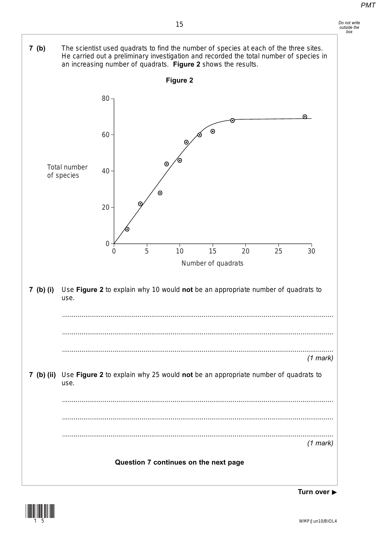*Do not write outside the box*





Turn over **►**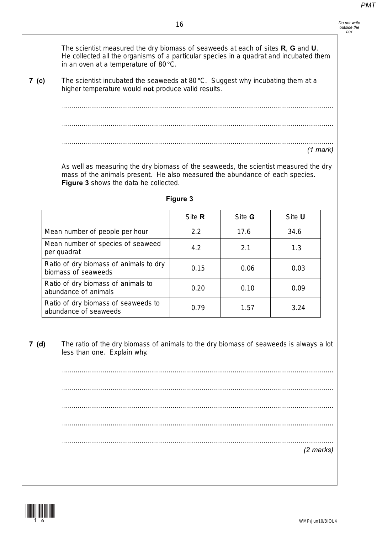*Do not write outside the box*

### 16

The scientist measured the dry biomass of seaweeds at each of sites **R**, **G** and **U**. He collected all the organisms of a particular species in a quadrat and incubated them

**7 (c)** The scientist incubated the seaweeds at 80°C. Suggest why incubating them at a higher temperature would **not** produce valid results.

in an oven at a temperature of 80°C.

............................................................................................................................................ ............................................................................................................................................ ............................................................................................................................................ *(1 mark)*

As well as measuring the dry biomass of the seaweeds, the scientist measured the dry mass of the animals present. He also measured the abundance of each species. **Figure 3** shows the data he collected.

|                                                               | Site R | Site <b>G</b> | Site U |
|---------------------------------------------------------------|--------|---------------|--------|
| Mean number of people per hour                                | 2.2    | 17.6          | 34.6   |
| Mean number of species of seaweed<br>per quadrat              | 4.2    | 2.1           | 1.3    |
| Ratio of dry biomass of animals to dry<br>biomass of seaweeds | 0.15   | 0.06          | 0.03   |
| Ratio of dry biomass of animals to<br>abundance of animals    | 0.20   | 0.10          | 0.09   |
| Ratio of dry biomass of seaweeds to<br>abundance of seaweeds  | 0.79   | 1.57          | 3.24   |

### **Figure 3**

**7 (d)** The ratio of the dry biomass of animals to the dry biomass of seaweeds is always a lot less than one. Explain why.

............................................................................................................................................ ............................................................................................................................................ ............................................................................................................................................ ............................................................................................................................................ ............................................................................................................................................ *(2 marks)*

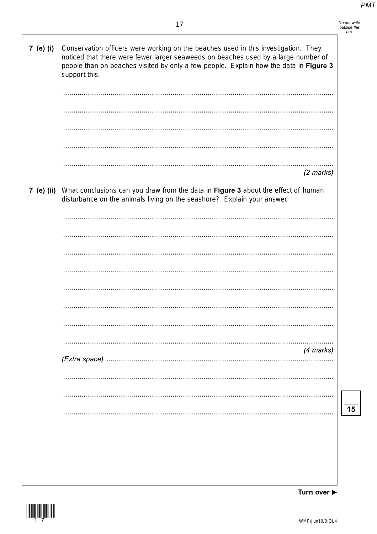| Do not write |
|--------------|
| outside the  |
| hov          |

| 7 (e) (i) | Conservation officers were working on the beaches used in this investigation. They<br>noticed that there were fewer larger seaweeds on beaches used by a large number of<br>people than on beaches visited by only a few people. Explain how the data in Figure 3<br>support this. |
|-----------|------------------------------------------------------------------------------------------------------------------------------------------------------------------------------------------------------------------------------------------------------------------------------------|
|           | $(2 \text{ marks})$                                                                                                                                                                                                                                                                |
|           | 7 (e) (ii) What conclusions can you draw from the data in Figure 3 about the effect of human<br>disturbance on the animals living on the seashore? Explain your answer.                                                                                                            |
|           |                                                                                                                                                                                                                                                                                    |
|           |                                                                                                                                                                                                                                                                                    |
|           |                                                                                                                                                                                                                                                                                    |
|           |                                                                                                                                                                                                                                                                                    |
|           |                                                                                                                                                                                                                                                                                    |
|           |                                                                                                                                                                                                                                                                                    |
|           |                                                                                                                                                                                                                                                                                    |
|           | (4 marks)                                                                                                                                                                                                                                                                          |
|           |                                                                                                                                                                                                                                                                                    |
|           |                                                                                                                                                                                                                                                                                    |
|           |                                                                                                                                                                                                                                                                                    |
|           |                                                                                                                                                                                                                                                                                    |
|           |                                                                                                                                                                                                                                                                                    |
|           |                                                                                                                                                                                                                                                                                    |
|           |                                                                                                                                                                                                                                                                                    |

Turn over ▶

 $\frac{1}{15}$ 

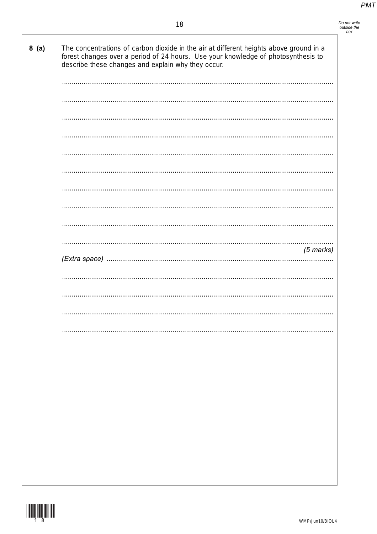| 8(a) | The concentrations of carbon dioxide in the air at different heights above ground in a<br>forest changes over a period of 24 hours. Use your knowledge of photosynthesis to<br>describe these changes and explain why they occur. |
|------|-----------------------------------------------------------------------------------------------------------------------------------------------------------------------------------------------------------------------------------|
|      |                                                                                                                                                                                                                                   |
|      |                                                                                                                                                                                                                                   |
|      |                                                                                                                                                                                                                                   |
|      |                                                                                                                                                                                                                                   |
|      |                                                                                                                                                                                                                                   |
|      |                                                                                                                                                                                                                                   |
|      |                                                                                                                                                                                                                                   |
|      |                                                                                                                                                                                                                                   |
|      |                                                                                                                                                                                                                                   |
|      | .<br>$(5$ marks)                                                                                                                                                                                                                  |
|      |                                                                                                                                                                                                                                   |
|      |                                                                                                                                                                                                                                   |
|      |                                                                                                                                                                                                                                   |
|      |                                                                                                                                                                                                                                   |
|      |                                                                                                                                                                                                                                   |
|      |                                                                                                                                                                                                                                   |
|      |                                                                                                                                                                                                                                   |
|      |                                                                                                                                                                                                                                   |
|      |                                                                                                                                                                                                                                   |
|      |                                                                                                                                                                                                                                   |
|      |                                                                                                                                                                                                                                   |
|      |                                                                                                                                                                                                                                   |
|      |                                                                                                                                                                                                                                   |

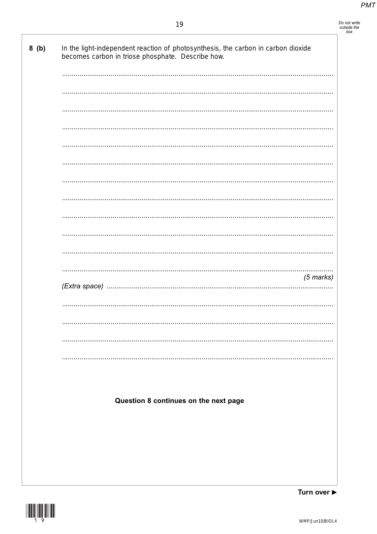# Do not write<br>outside the<br>box

| becomes carbon in triose phosphate. Describe how. |             |
|---------------------------------------------------|-------------|
|                                                   |             |
|                                                   |             |
|                                                   |             |
|                                                   |             |
|                                                   |             |
|                                                   |             |
|                                                   |             |
|                                                   |             |
|                                                   |             |
|                                                   |             |
|                                                   |             |
|                                                   |             |
|                                                   |             |
|                                                   |             |
|                                                   |             |
|                                                   |             |
|                                                   |             |
|                                                   | $(5$ marks) |
|                                                   |             |
|                                                   |             |
|                                                   |             |
|                                                   |             |
|                                                   |             |
|                                                   |             |
|                                                   |             |
|                                                   |             |
|                                                   |             |
| Question 8 continues on the next page             |             |
|                                                   |             |
|                                                   |             |
|                                                   |             |
|                                                   |             |
|                                                   |             |

Turn over ▶